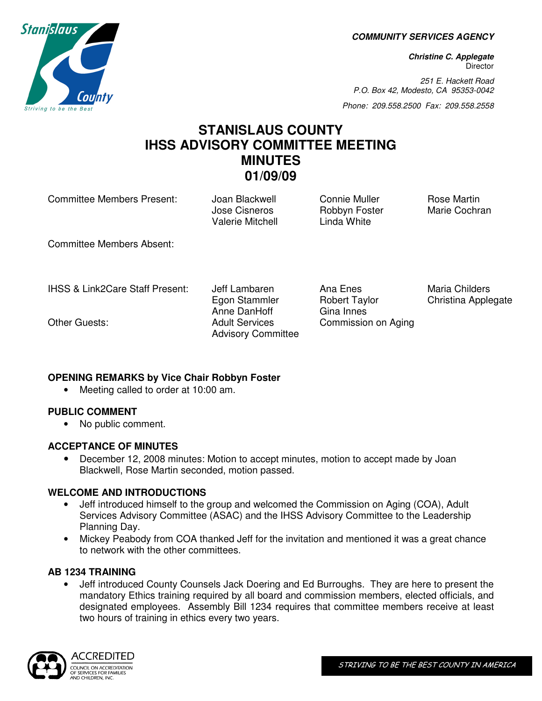**COMMUNITY SERVICES AGENCY** 

**Christine C. Applegate Director** 

251 E. Hackett Road P.O. Box 42, Modesto, CA 95353-0042

Phone: 209.558.2500 Fax: 209.558.2558

# **STANISLAUS COUNTY IHSS ADVISORY COMMITTEE MEETING MINUTES 01/09/09**

Anne DanHoff Gina Innes

Committee Members Present: Joan Blackwell Connie Muller Rose Martin

Jose Cisneros Robbyn Foster Marie Cochran Valerie Mitchell Linda White

Egon Stammler **Robert Taylor** Christina Applegate

Commission on Aging

Committee Members Absent:

IHSS & Link2Care Staff Present: Jeff Lambaren Ana Enes Maria Childers

Other Guests: Adult Services

## **OPENING REMARKS by Vice Chair Robbyn Foster**

• Meeting called to order at 10:00 am.

## **PUBLIC COMMENT**

• No public comment.

## **ACCEPTANCE OF MINUTES**

• December 12, 2008 minutes: Motion to accept minutes, motion to accept made by Joan Blackwell, Rose Martin seconded, motion passed.

Advisory Committee

## **WELCOME AND INTRODUCTIONS**

- Jeff introduced himself to the group and welcomed the Commission on Aging (COA), Adult Services Advisory Committee (ASAC) and the IHSS Advisory Committee to the Leadership Planning Day.
- Mickey Peabody from COA thanked Jeff for the invitation and mentioned it was a great chance to network with the other committees.

## **AB 1234 TRAINING**

• Jeff introduced County Counsels Jack Doering and Ed Burroughs. They are here to present the mandatory Ethics training required by all board and commission members, elected officials, and designated employees. Assembly Bill 1234 requires that committee members receive at least two hours of training in ethics every two years.